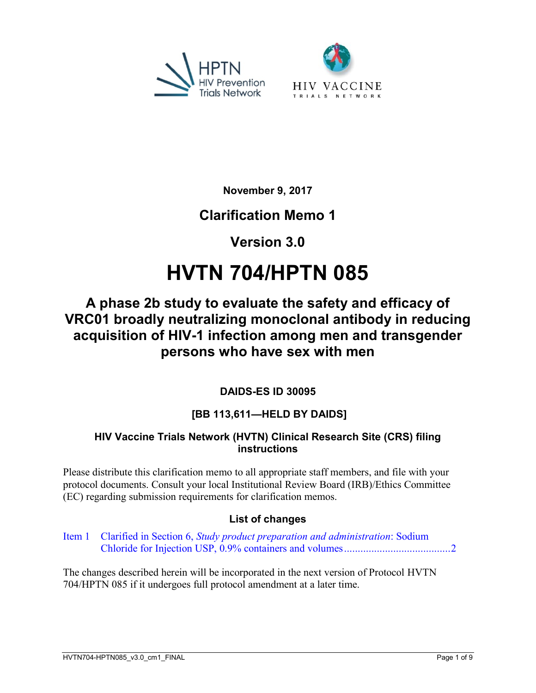



**November 9, 2017**

# **Clarification Memo 1**

# **Version 3.0**

# **HVTN 704/HPTN 085**

# **A phase 2b study to evaluate the safety and efficacy of VRC01 broadly neutralizing monoclonal antibody in reducing acquisition of HIV-1 infection among men and transgender persons who have sex with men**

**DAIDS-ES ID 30095**

## **[BB 113,611—HELD BY DAIDS]**

### **HIV Vaccine Trials Network (HVTN) Clinical Research Site (CRS) filing instructions**

Please distribute this clarification memo to all appropriate staff members, and file with your protocol documents. Consult your local Institutional Review Board (IRB)/Ethics Committee (EC) regarding submission requirements for clarification memos.

## **List of changes**

Item 1 Clarified in Section 6, *[Study product preparation and administration](#page-1-0)*: Sodium [Chloride for Injection USP, 0.9% containers and volumes.......................................2](#page-1-0)

The changes described herein will be incorporated in the next version of Protocol HVTN 704/HPTN 085 if it undergoes full protocol amendment at a later time.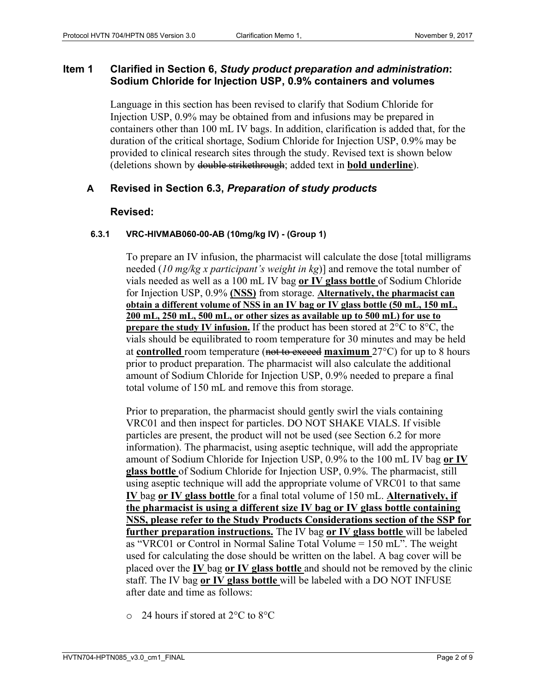#### <span id="page-1-0"></span>**Item 1 Clarified in Section 6,** *Study product preparation and administration***: Sodium Chloride for Injection USP, 0.9% containers and volumes**

Language in this section has been revised to clarify that Sodium Chloride for Injection USP, 0.9% may be obtained from and infusions may be prepared in containers other than 100 mL IV bags. In addition, clarification is added that, for the duration of the critical shortage, Sodium Chloride for Injection USP, 0.9% may be provided to clinical research sites through the study. Revised text is shown below (deletions shown by double strikethrough; added text in **bold underline**).

#### **A Revised in Section 6.3,** *Preparation of study products*

#### **Revised:**

#### **6.3.1 VRC-HIVMAB060-00-AB (10mg/kg IV) - (Group 1)**

To prepare an IV infusion, the pharmacist will calculate the dose [total milligrams needed (*10 mg/kg x participant's weight in kg*)] and remove the total number of vials needed as well as a 100 mL IV bag **or IV glass bottle** of Sodium Chloride for Injection USP, 0.9% **(NSS)** from storage. **Alternatively, the pharmacist can obtain a different volume of NSS in an IV bag or IV glass bottle (50 mL, 150 mL, 200 mL, 250 mL, 500 mL, or other sizes as available up to 500 mL) for use to prepare the study IV infusion.** If the product has been stored at 2<sup>o</sup>C to 8<sup>o</sup>C, the vials should be equilibrated to room temperature for 30 minutes and may be held at **controlled** room temperature (not to exceed maximum 27<sup>o</sup>C) for up to 8 hours prior to product preparation. The pharmacist will also calculate the additional amount of Sodium Chloride for Injection USP, 0.9% needed to prepare a final total volume of 150 mL and remove this from storage.

Prior to preparation, the pharmacist should gently swirl the vials containing VRC01 and then inspect for particles. DO NOT SHAKE VIALS. If visible particles are present, the product will not be used (see Section 6.2 for more information). The pharmacist, using aseptic technique, will add the appropriate amount of Sodium Chloride for Injection USP, 0.9% to the 100 mL IV bag **or IV glass bottle** of Sodium Chloride for Injection USP, 0.9%. The pharmacist, still using aseptic technique will add the appropriate volume of VRC01 to that same **IV** bag **or IV glass bottle** for a final total volume of 150 mL. **Alternatively, if the pharmacist is using a different size IV bag or IV glass bottle containing NSS, please refer to the Study Products Considerations section of the SSP for further preparation instructions.** The IV bag **or IV glass bottle** will be labeled as "VRC01 or Control in Normal Saline Total Volume = 150 mL". The weight used for calculating the dose should be written on the label. A bag cover will be placed over the **IV** bag **or IV glass bottle** and should not be removed by the clinic staff. The IV bag **or IV glass bottle** will be labeled with a DO NOT INFUSE after date and time as follows:

o 24 hours if stored at 2°C to 8°C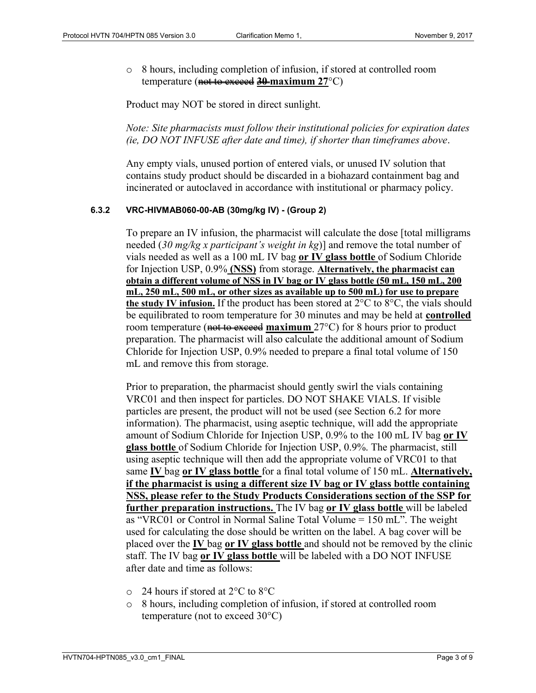#### o 8 hours, including completion of infusion, if stored at controlled room temperature (not to exceed **30 maximum 27**°C)

Product may NOT be stored in direct sunlight.

*Note: Site pharmacists must follow their institutional policies for expiration dates (ie, DO NOT INFUSE after date and time), if shorter than timeframes above*.

Any empty vials, unused portion of entered vials, or unused IV solution that contains study product should be discarded in a biohazard containment bag and incinerated or autoclaved in accordance with institutional or pharmacy policy.

#### **6.3.2 VRC-HIVMAB060-00-AB (30mg/kg IV) - (Group 2)**

To prepare an IV infusion, the pharmacist will calculate the dose [total milligrams needed (*30 mg/kg x participant's weight in kg*)] and remove the total number of vials needed as well as a 100 mL IV bag **or IV glass bottle** of Sodium Chloride for Injection USP, 0.9% **(NSS)** from storage. **Alternatively, the pharmacist can obtain a different volume of NSS in IV bag or IV glass bottle (50 mL, 150 mL, 200 mL, 250 mL, 500 mL, or other sizes as available up to 500 mL) for use to prepare the study IV infusion.** If the product has been stored at 2°C to 8°C, the vials should be equilibrated to room temperature for 30 minutes and may be held at **controlled**  room temperature (not to exceed maximum 27<sup>o</sup>C) for 8 hours prior to product preparation. The pharmacist will also calculate the additional amount of Sodium Chloride for Injection USP, 0.9% needed to prepare a final total volume of 150 mL and remove this from storage.

Prior to preparation, the pharmacist should gently swirl the vials containing VRC01 and then inspect for particles. DO NOT SHAKE VIALS. If visible particles are present, the product will not be used (see Section 6.2 for more information). The pharmacist, using aseptic technique, will add the appropriate amount of Sodium Chloride for Injection USP, 0.9% to the 100 mL IV bag **or IV glass bottle** of Sodium Chloride for Injection USP, 0.9%. The pharmacist, still using aseptic technique will then add the appropriate volume of VRC01 to that same **IV** bag **or IV glass bottle** for a final total volume of 150 mL. **Alternatively, if the pharmacist is using a different size IV bag or IV glass bottle containing NSS, please refer to the Study Products Considerations section of the SSP for further preparation instructions.** The IV bag **or IV glass bottle** will be labeled as "VRC01 or Control in Normal Saline Total Volume = 150 mL". The weight used for calculating the dose should be written on the label. A bag cover will be placed over the **IV** bag **or IV glass bottle** and should not be removed by the clinic staff. The IV bag **or IV glass bottle** will be labeled with a DO NOT INFUSE after date and time as follows:

- o 24 hours if stored at 2°C to 8°C
- o 8 hours, including completion of infusion, if stored at controlled room temperature (not to exceed 30°C)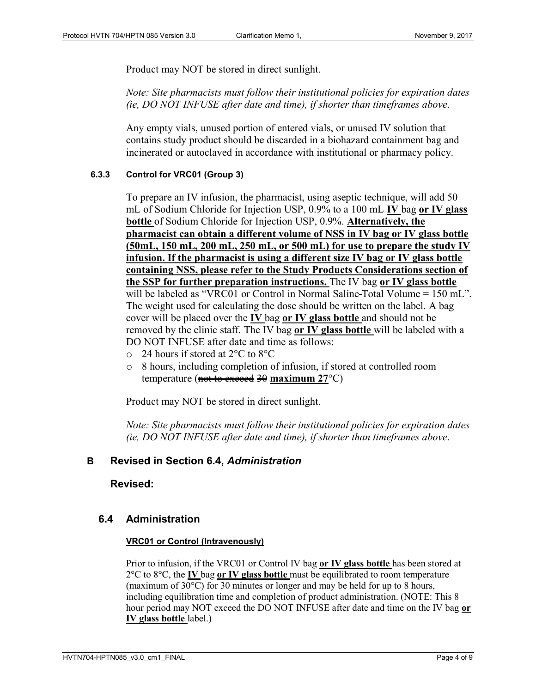Product may NOT be stored in direct sunlight.

*Note: Site pharmacists must follow their institutional policies for expiration dates (ie, DO NOT INFUSE after date and time), if shorter than timeframes above*.

Any empty vials, unused portion of entered vials, or unused IV solution that contains study product should be discarded in a biohazard containment bag and incinerated or autoclaved in accordance with institutional or pharmacy policy.

#### **6.3.3 Control for VRC01 (Group 3)**

To prepare an IV infusion, the pharmacist, using aseptic technique, will add 50 mL of Sodium Chloride for Injection USP, 0.9% to a 100 mL **IV** bag **or IV glass bottle** of Sodium Chloride for Injection USP, 0.9%. **Alternatively, the pharmacist can obtain a different volume of NSS in IV bag or IV glass bottle (50mL, 150 mL, 200 mL, 250 mL, or 500 mL) for use to prepare the study IV infusion. If the pharmacist is using a different size IV bag or IV glass bottle containing NSS, please refer to the Study Products Considerations section of the SSP for further preparation instructions.** The IV bag **or IV glass bottle**  will be labeled as "VRC01 or Control in Normal Saline-Total Volume = 150 mL". The weight used for calculating the dose should be written on the label. A bag cover will be placed over the **IV** bag **or IV glass bottle** and should not be removed by the clinic staff. The IV bag **or IV glass bottle** will be labeled with a DO NOT INFUSE after date and time as follows:

- o 24 hours if stored at 2°C to 8°C
- o 8 hours, including completion of infusion, if stored at controlled room temperature (not to exceed 30 **maximum 27**°C)

Product may NOT be stored in direct sunlight.

*Note: Site pharmacists must follow their institutional policies for expiration dates (ie, DO NOT INFUSE after date and time), if shorter than timeframes above*.

#### **B Revised in Section 6.4,** *Administration*

#### **Revised:**

#### **6.4 Administration**

#### **VRC01 or Control (Intravenously)**

Prior to infusion, if the VRC01 or Control IV bag **or IV glass bottle** has been stored at 2°C to 8°C, the **IV** bag **or IV glass bottle** must be equilibrated to room temperature (maximum of 30°C) for 30 minutes or longer and may be held for up to 8 hours, including equilibration time and completion of product administration. (NOTE: This 8 hour period may NOT exceed the DO NOT INFUSE after date and time on the IV bag **or IV glass bottle** label.)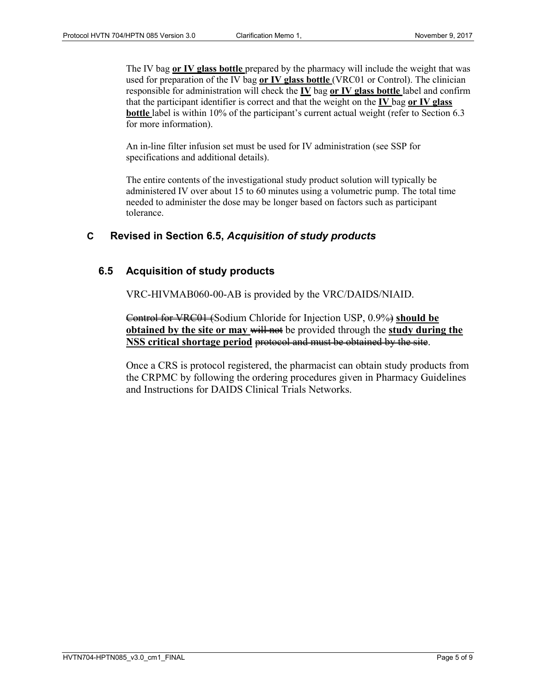The IV bag **or IV glass bottle** prepared by the pharmacy will include the weight that was used for preparation of the IV bag **or IV glass bottle** (VRC01 or Control). The clinician responsible for administration will check the **IV** bag **or IV glass bottle** label and confirm that the participant identifier is correct and that the weight on the **IV** bag **or IV glass bottle** label is within 10% of the participant's current actual weight (refer to Section 6.3) for more information).

An in-line filter infusion set must be used for IV administration (see SSP for specifications and additional details).

The entire contents of the investigational study product solution will typically be administered IV over about 15 to 60 minutes using a volumetric pump. The total time needed to administer the dose may be longer based on factors such as participant tolerance.

#### **C Revised in Section 6.5,** *Acquisition of study products*

#### **6.5 Acquisition of study products**

VRC-HIVMAB060-00-AB is provided by the VRC/DAIDS/NIAID.

Control for VRC01 (Sodium Chloride for Injection USP, 0.9%) **should be obtained by the site or may will not be provided through the study during the NSS critical shortage period** protocol and must be obtained by the site.

Once a CRS is protocol registered, the pharmacist can obtain study products from the CRPMC by following the ordering procedures given in Pharmacy Guidelines and Instructions for DAIDS Clinical Trials Networks.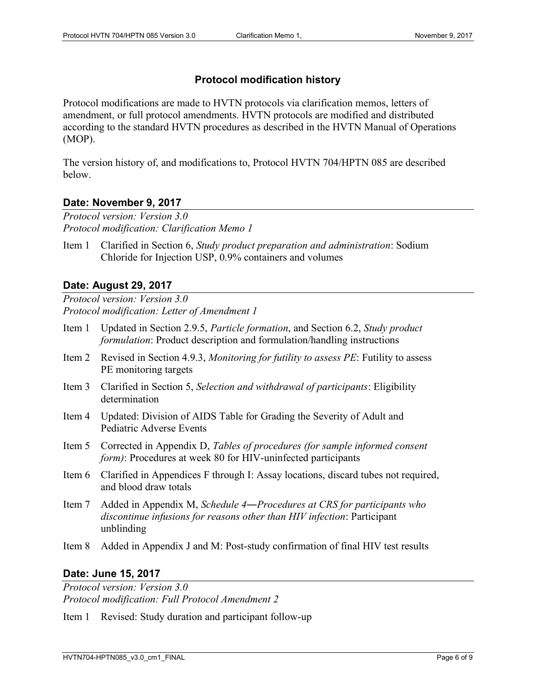#### **Protocol modification history**

Protocol modifications are made to HVTN protocols via clarification memos, letters of amendment, or full protocol amendments. HVTN protocols are modified and distributed according to the standard HVTN procedures as described in the HVTN Manual of Operations (MOP).

The version history of, and modifications to, Protocol HVTN 704/HPTN 085 are described below.

#### **Date: November 9, 2017**

*Protocol version: Version 3.0 Protocol modification: Clarification Memo 1*

Item 1 Clarified in Section 6, *Study product preparation and administration*: Sodium Chloride for Injection USP, 0.9% containers and volumes

#### **Date: August 29, 2017**

*Protocol version: Version 3.0 Protocol modification: Letter of Amendment 1*

- Item 1 Updated in Section 2.9.5, *Particle formation*, and Section 6.2, *Study product formulation*: Product description and formulation/handling instructions
- Item 2 Revised in Section 4.9.3, *Monitoring for futility to assess PE*: Futility to assess PE monitoring targets
- Item 3 Clarified in Section 5, *Selection and withdrawal of participants*: Eligibility determination
- Item 4 Updated: Division of AIDS Table for Grading the Severity of Adult and Pediatric Adverse Events
- Item 5 Corrected in Appendix D, *Tables of procedures (for sample informed consent form*): Procedures at week 80 for HIV-uninfected participants
- Item 6 Clarified in Appendices F through I: Assay locations, discard tubes not required, and blood draw totals
- Item 7 Added in Appendix M, *Schedule 4―Procedures at CRS for participants who discontinue infusions for reasons other than HIV infection*: Participant unblinding
- Item 8 Added in Appendix J and M: Post-study confirmation of final HIV test results

#### **Date: June 15, 2017**

*Protocol version: Version 3.0 Protocol modification: Full Protocol Amendment 2*

Item 1 Revised: Study duration and participant follow-up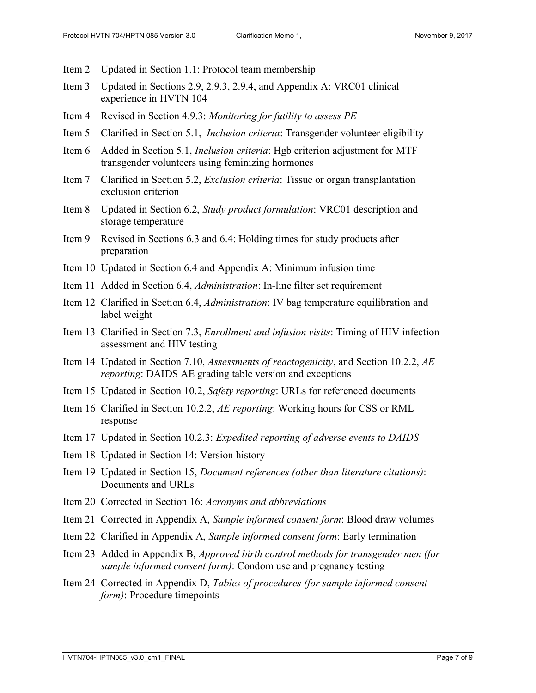- Item 2 Updated in Section 1.1: Protocol team membership
- Item 3 Updated in Sections 2.9, 2.9.3, 2.9.4, and Appendix A: VRC01 clinical experience in HVTN 104
- Item 4 Revised in Section 4.9.3: *Monitoring for futility to assess PE*
- Item 5 Clarified in Section 5.1, *Inclusion criteria*: Transgender volunteer eligibility
- Item 6 Added in Section 5.1, *Inclusion criteria*: Hgb criterion adjustment for MTF transgender volunteers using feminizing hormones
- Item 7 Clarified in Section 5.2, *Exclusion criteria*: Tissue or organ transplantation exclusion criterion
- Item 8 Updated in Section 6.2, *Study product formulation*: VRC01 description and storage temperature
- Item 9 Revised in Sections 6.3 and 6.4: Holding times for study products after preparation
- Item 10 Updated in Section 6.4 and Appendix A: Minimum infusion time
- Item 11 Added in Section 6.4, *Administration*: In-line filter set requirement
- Item 12 Clarified in Section 6.4, *Administration*: IV bag temperature equilibration and label weight
- Item 13 Clarified in Section 7.3, *Enrollment and infusion visits*: Timing of HIV infection assessment and HIV testing
- Item 14 Updated in Section 7.10, *Assessments of reactogenicity*, and Section 10.2.2, *AE reporting*: DAIDS AE grading table version and exceptions
- Item 15 Updated in Section 10.2, *Safety reporting*: URLs for referenced documents
- Item 16 Clarified in Section 10.2.2, *AE reporting*: Working hours for CSS or RML response
- Item 17 Updated in Section 10.2.3: *Expedited reporting of adverse events to DAIDS*
- Item 18 Updated in Section 14: Version history
- Item 19 Updated in Section 15, *Document references (other than literature citations)*: Documents and URLs
- Item 20 Corrected in Section 16: *Acronyms and abbreviations*
- Item 21 Corrected in Appendix A, *Sample informed consent form*: Blood draw volumes
- Item 22 Clarified in Appendix A, *Sample informed consent form*: Early termination
- Item 23 Added in Appendix B, *Approved birth control methods for transgender men (for sample informed consent form)*: Condom use and pregnancy testing
- Item 24 Corrected in Appendix D, *Tables of procedures (for sample informed consent form*): Procedure timepoints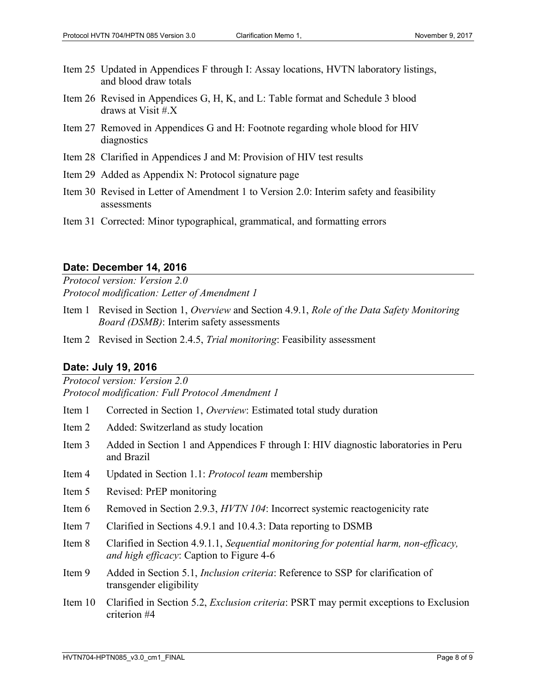- Item 25 Updated in Appendices F through I: Assay locations, HVTN laboratory listings, and blood draw totals
- Item 26 Revised in Appendices G, H, K, and L: Table format and Schedule 3 blood draws at Visit #.X
- Item 27 Removed in Appendices G and H: Footnote regarding whole blood for HIV diagnostics
- Item 28 Clarified in Appendices J and M: Provision of HIV test results
- Item 29 Added as Appendix N: Protocol signature page
- Item 30 Revised in Letter of Amendment 1 to Version 2.0: Interim safety and feasibility assessments
- Item 31 Corrected: Minor typographical, grammatical, and formatting errors

#### **Date: December 14, 2016**

*Protocol version: Version 2.0 Protocol modification: Letter of Amendment 1*

- Item 1 Revised in Section 1, *Overview* and Section 4.9.1, *Role of the Data Safety Monitoring Board (DSMB)*: Interim safety assessments
- Item 2 Revised in Section 2.4.5, *Trial monitoring*: Feasibility assessment

#### **Date: July 19, 2016**

*Protocol version: Version 2.0 Protocol modification: Full Protocol Amendment 1*

- Item 1 Corrected in Section 1, *Overview*: Estimated total study duration
- Item 2 Added: Switzerland as study location
- Item 3 Added in Section 1 and Appendices F through I: HIV diagnostic laboratories in Peru and Brazil
- Item 4 Updated in Section 1.1: *Protocol team* membership
- Item 5 Revised: PrEP monitoring
- Item 6 Removed in Section 2.9.3, *HVTN 104*: Incorrect systemic reactogenicity rate
- Item 7 Clarified in Sections 4.9.1 and 10.4.3: Data reporting to DSMB
- Item 8 Clarified in Section 4.9.1.1, *Sequential monitoring for potential harm, non-efficacy, and high efficacy*: Caption to Figure 4-6
- Item 9 Added in Section 5.1, *Inclusion criteria*: Reference to SSP for clarification of transgender eligibility
- Item 10 Clarified in Section 5.2, *Exclusion criteria*: PSRT may permit exceptions to Exclusion criterion #4